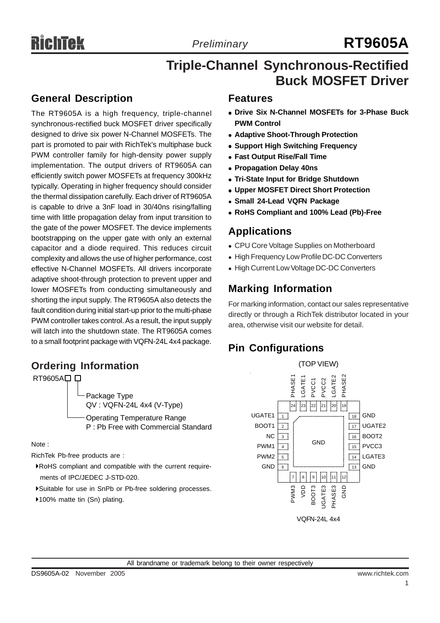# *Preliminary* **RT9605A**

## **Triple-Channel Synchronous-Rectified Buck MOSFET Driver**

### **General Description**

The RT9605A is a high frequency, triple-channel synchronous-rectified buck MOSFET driver specifically designed to drive six power N-Channel MOSFETs. The part is promoted to pair with RichTek's multiphase buck PWM controller family for high-density power supply implementation. The output drivers of RT9605A can efficiently switch power MOSFETs at frequency 300kHz typically. Operating in higher frequency should consider the thermal dissipation carefully. Each driver of RT9605A is capable to drive a 3nF load in 30/40ns rising/falling time with little propagation delay from input transition to the gate of the power MOSFET. The device implements bootstrapping on the upper gate with only an external capacitor and a diode required. This reduces circuit complexity and allows the use of higher performance, cost effective N-Channel MOSFETs. All drivers incorporate adaptive shoot-through protection to prevent upper and lower MOSFETs from conducting simultaneously and shorting the input supply. The RT9605A also detects the fault condition during initial start-up prior to the multi-phase PWM controller takes control. As a result, the input supply will latch into the shutdown state. The RT9605A comes to a small footprint package with VQFN-24L 4x4 package.

### **Ordering Information**



Note :

RichTek Pb-free products are :

- `RoHS compliant and compatible with the current require ments of IPC/JEDEC J-STD-020.
- `Suitable for use in SnPb or Pb-free soldering processes.
- ▶100% matte tin (Sn) plating.

### **Features**

- <sup>z</sup> **Drive Six N-Channel MOSFETs for 3-Phase Buck PWM Control**
- **Adaptive Shoot-Through Protection**
- **Support High Switching Frequency**
- **Fast Output Rise/Fall Time**
- **Propagation Delay 40ns**
- **Tri-State Input for Bridge Shutdown**
- **Upper MOSFET Direct Short Protection**
- <sup>z</sup> **Small 24-Lead VQFN Package**
- <sup>z</sup> **RoHS Compliant and 100% Lead (Pb)-Free**

### **Applications**

- CPU Core Voltage Supplies on Motherboard
- High Frequency Low Profile DC-DC Converters
- High Current Low Voltage DC-DC Converters

### **Marking Information**

For marking information, contact our sales representative directly or through a RichTek distributor located in your area, otherwise visit our website for detail.

### **Pin Configurations**

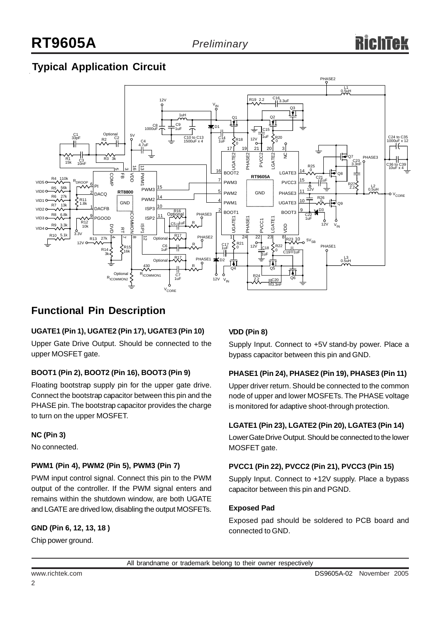## **Typical Application Circuit**



### **Functional Pin Description**

### **UGATE1 (Pin 1), UGATE2 (Pin 17), UGATE3 (Pin 10)**

Upper Gate Drive Output. Should be connected to the upper MOSFET gate.

#### **BOOT1 (Pin 2), BOOT2 (Pin 16), BOOT3 (Pin 9)**

Floating bootstrap supply pin for the upper gate drive. Connect the bootstrap capacitor between this pin and the PHASE pin. The bootstrap capacitor provides the charge to turn on the upper MOSFET.

### **NC (Pin 3)**

No connected.

### **PWM1 (Pin 4), PWM2 (Pin 5), PWM3 (Pin 7)**

PWM input control signal. Connect this pin to the PWM output of the controller. If the PWM signal enters and remains within the shutdown window, are both UGATE and LGATE are drived low, disabling the output MOSFETs.

### **GND (Pin 6, 12, 13, 18 )**

Chip power ground.

### **VDD (Pin 8)**

Supply Input. Connect to +5V stand-by power. Place a bypass capacitor between this pin and GND.

### **PHASE1 (Pin 24), PHASE2 (Pin 19), PHASE3 (Pin 11)**

Upper driver return. Should be connected to the common node of upper and lower MOSFETs. The PHASE voltage is monitored for adaptive shoot-through protection.

#### **LGATE1 (Pin 23), LGATE2 (Pin 20), LGATE3 (Pin 14)**

Lower Gate Drive Output. Should be connected to the lower MOSFET gate.

#### **PVCC1 (Pin 22), PVCC2 (Pin 21), PVCC3 (Pin 15)**

Supply Input. Connect to +12V supply. Place a bypass capacitor between this pin and PGND.

#### **Exposed Pad**

Exposed pad should be soldered to PCB board and connected to GND.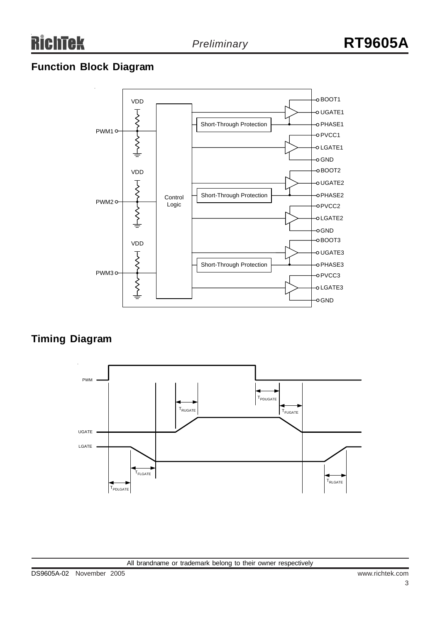### **Function Block Diagram**



### **Timing Diagram**

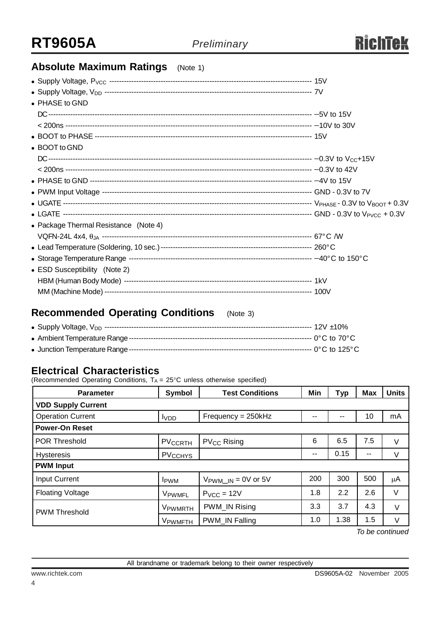### **Absolute Maximum Ratings** (Note 1)

| • PHASE to GND                        |  |
|---------------------------------------|--|
|                                       |  |
|                                       |  |
|                                       |  |
| • BOOT to GND                         |  |
|                                       |  |
|                                       |  |
|                                       |  |
|                                       |  |
|                                       |  |
|                                       |  |
| • Package Thermal Resistance (Note 4) |  |
|                                       |  |
|                                       |  |
|                                       |  |
| • ESD Susceptibility (Note 2)         |  |
|                                       |  |
|                                       |  |

### **Recommended Operating Conditions** (Note 3)

### **Electrical Characteristics**

(Recommended Operating Conditions,  $T_A = 25^{\circ}$ C unless otherwise specified)

| <b>Parameter</b>                                                   | <b>Symbol</b>             | <b>Test Conditions</b>          | Min | <b>Typ</b> | Max | <b>Units</b> |  |  |
|--------------------------------------------------------------------|---------------------------|---------------------------------|-----|------------|-----|--------------|--|--|
| <b>VDD Supply Current</b>                                          |                           |                                 |     |            |     |              |  |  |
| Frequency = 250kHz<br><b>Operation Current</b><br>I <sub>VDD</sub> |                           |                                 | --  | --         | 10  | mA           |  |  |
| <b>Power-On Reset</b>                                              |                           |                                 |     |            |     |              |  |  |
| <b>POR Threshold</b>                                               | PV <sub>CCRTH</sub>       | <b>PV<sub>CC</sub></b> Rising   | 6   | 6.5        | 7.5 | $\vee$       |  |  |
| <b>Hysteresis</b>                                                  | <b>PV<sub>CCHYS</sub></b> |                                 |     | 0.15       | $-$ | V            |  |  |
| <b>PWM Input</b>                                                   |                           |                                 |     |            |     |              |  |  |
| Input Current                                                      | <b>IPWM</b>               | $V_{\text{PWM\_IN}} = 0V$ or 5V | 200 | 300        | 500 | μA           |  |  |
| <b>Floating Voltage</b>                                            | VPWMFL                    | $PVCC = 12V$                    | 1.8 | 2.2        | 2.6 | V            |  |  |
| <b>PWM Threshold</b>                                               | VPWMRTH                   | PWM IN Rising                   | 3.3 | 3.7        | 4.3 | V            |  |  |
|                                                                    | V <sub>PWMFTH</sub>       | PWM IN Falling                  | 1.0 | 1.38       | 1.5 | V            |  |  |

*To be continued*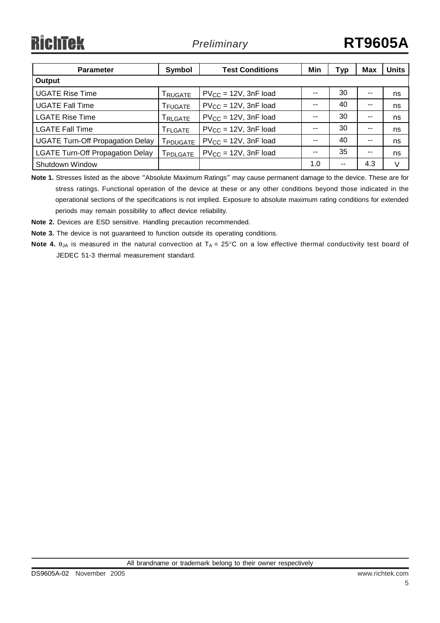| <b>Parameter</b>                        | Symbol                 | <b>Test Conditions</b>     | Min | Тур           | <b>Max</b> | <b>Units</b> |  |
|-----------------------------------------|------------------------|----------------------------|-----|---------------|------------|--------------|--|
| Output                                  |                        |                            |     |               |            |              |  |
| <b>UGATE Rise Time</b>                  | Trugate                | $PV_{CC} = 12V$ , 3nF load |     | 30            |            | ns           |  |
| <b>UGATE Fall Time</b>                  | T <sub>FUGATE</sub>    | $PV_{CC} = 12V$ , 3nF load |     | 40            |            | ns           |  |
| <b>LGATE Rise Time</b>                  | TRLGATE                | $PV_{CC} = 12V$ , 3nF load |     | 30            | --         | ns           |  |
| <b>LGATE Fall Time</b>                  | T <sub>FLGATE</sub>    | $PV_{CC} = 12V$ , 3nF load |     | 30            | --         | ns           |  |
| <b>UGATE Turn-Off Propagation Delay</b> | <b>FPDUGATE</b>        | $PV_{CC} = 12V$ , 3nF load |     | 40            |            | ns           |  |
| <b>LGATE Turn-Off Propagation Delay</b> | <b><i>FPDLGATE</i></b> | $PV_{CC} = 12V$ , 3nF load |     | 35            | --         | ns           |  |
| Shutdown Window                         |                        |                            | 1.0 | $\sim$ $\sim$ | 4.3        | $\vee$       |  |

**Note 1.** Stresses listed as the above "Absolute Maximum Ratings" may cause permanent damage to the device. These are for stress ratings. Functional operation of the device at these or any other conditions beyond those indicated in the operational sections of the specifications is not implied. Exposure to absolute maximum rating conditions for extended periods may remain possibility to affect device reliability.

**Note 2.** Devices are ESD sensitive. Handling precaution recommended.

**Note 3.** The device is not guaranteed to function outside its operating conditions.

**Note 4.** θ<sub>JA</sub> is measured in the natural convection at T<sub>A</sub> = 25°C on a low effective thermal conductivity test board of JEDEC 51-3 thermal measurement standard.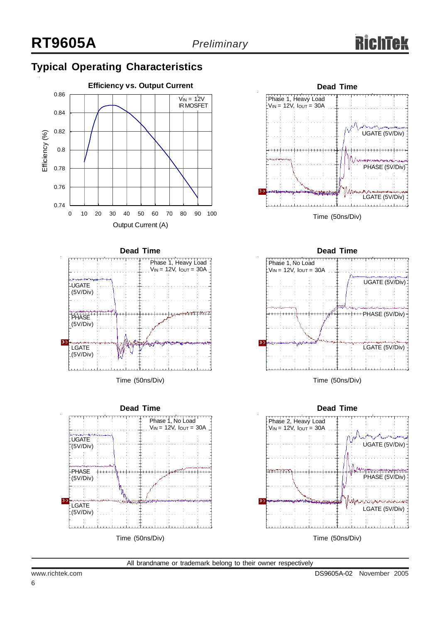## **Typical Operating Characteristics**





Time (50ns/Div)







Time (50ns/Div)



All brandname or trademark belong to their owner respectively

6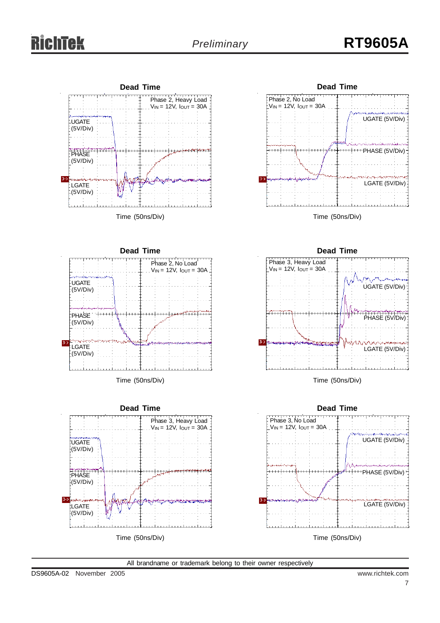# *Preliminary* **RT9605A**





Time (50ns/Div)



Time (50ns/Div)



**Dead Time** Phase 3, Heavy Load  $V_{IN} = 12V$ ,  $I_{OUT} = 30A$ UGATE (5V/Div) PHASE (5V/Div)  $3-$ WINDSCHARRENA

Time (50ns/Div)

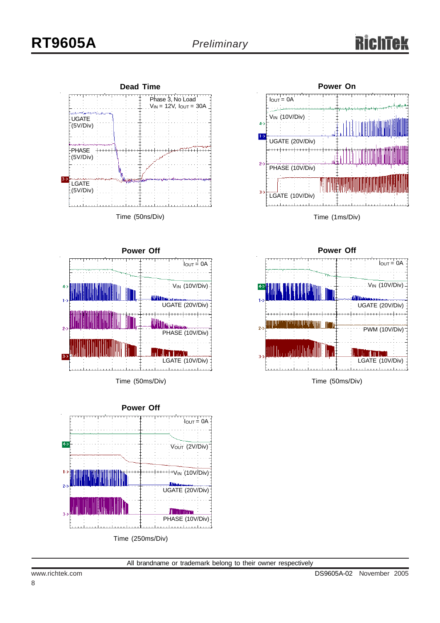



Time (50ms/Div)



Time (250ms/Div)





Time (50ms/Div)

All brandname or trademark belong to their owner respectively

8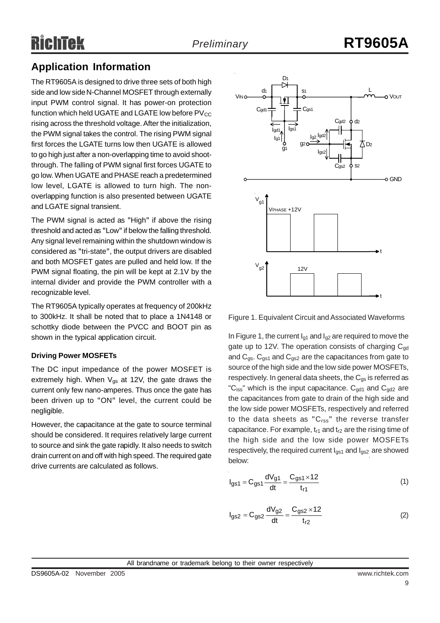### **Application Information**

The RT9605A is designed to drive three sets of both high side and low side N-Channel MOSFET through externally input PWM control signal. It has power-on protection function which held UGATE and LGATE low before  $PV_{CC}$ rising across the threshold voltage. After the initialization, the PWM signal takes the control. The rising PWM signal first forces the LGATE turns low then UGATE is allowed to go high just after a non-overlapping time to avoid shootthrough. The falling of PWM signal first forces UGATE to go low. When UGATE and PHASE reach a predetermined low level, LGATE is allowed to turn high. The nonoverlapping function is also presented between UGATE and LGATE signal transient.

The PWM signal is acted as "High" if above the rising threshold and acted as "Low" if below the falling threshold. Any signal level remaining within the shutdown window is considered as "tri-state", the output drivers are disabled and both MOSFET gates are pulled and held low. If the PWM signal floating, the pin will be kept at 2.1V by the internal divider and provide the PWM controller with a recognizable level.

The RT9605A typically operates at frequency of 200kHz to 300kHz. It shall be noted that to place a 1N4148 or schottky diode between the PVCC and BOOT pin as shown in the typical application circuit.

### **Driving Power MOSFETs**

The DC input impedance of the power MOSFET is extremely high. When  $V_{gs}$  at 12V, the gate draws the current only few nano-amperes. Thus once the gate has been driven up to "ON" level, the current could be negligible.

However, the capacitance at the gate to source terminal should be considered. It requires relatively large current to source and sink the gate rapidly. It also needs to switch drain current on and off with high speed. The required gate drive currents are calculated as follows.



Figure 1. Equivalent Circuit and Associated Waveforms

In Figure 1, the current  $I_{q1}$  and  $I_{q2}$  are required to move the gate up to 12V. The operation consists of charging  $C_{\text{nd}}$ and  $C_{gs}$ .  $C_{gs1}$  and  $C_{gs2}$  are the capacitances from gate to source of the high side and the low side power MOSFETs, respectively. In general data sheets, the  $C_{\alpha s}$  is referred as "C<sub>iss</sub>" which is the input capacitance.  $C_{gd1}$  and  $C_{gd2}$  are the capacitances from gate to drain of the high side and the low side power MOSFETs, respectively and referred to the data sheets as " $C_{rss}$ " the reverse transfer capacitance. For example,  $t_{r1}$  and  $t_{r2}$  are the rising time of the high side and the low side power MOSFETs respectively, the required current  $I_{gs1}$  and  $I_{gs2}$  are showed below:

$$
I_{gs1} = C_{gs1} \frac{dV_{g1}}{dt} = \frac{C_{gs1} \times 12}{t_{r1}}
$$
 (1)

$$
I_{gs2} = C_{gs2} \frac{dV_{g2}}{dt} = \frac{C_{gs2} \times 12}{t_{r2}}
$$
 (2)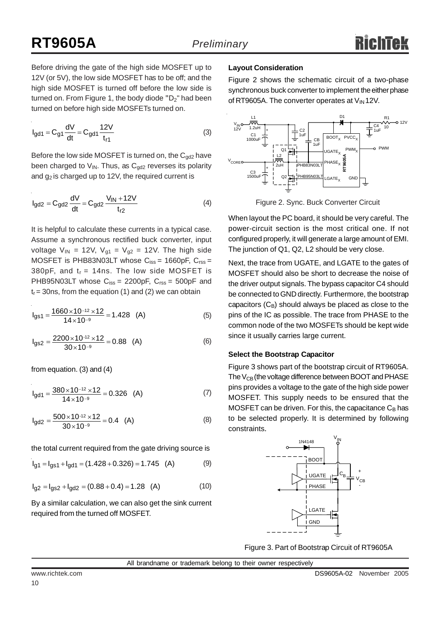Before driving the gate of the high side MOSFET up to 12V (or 5V), the low side MOSFET has to be off; and the high side MOSFET is turned off before the low side is turned on. From Figure 1, the body diode " $D_2$ " had been turned on before high side MOSFETs turned on.

$$
I_{gd1} = C_{g1} \frac{dV}{dt} = C_{gd1} \frac{12V}{t_{r1}}
$$
 (3)

Before the low side MOSFET is turned on, the  $C_{gd2}$  have been charged to  $V_{IN}$ . Thus, as  $C_{gd2}$  reverses its polarity and  $g_2$  is charged up to 12V, the required current is

$$
I_{gd2} = C_{gd2} \frac{dV}{dt} = C_{gd2} \frac{V_{IN} + 12V}{t_{r2}}
$$
 (4)

It is helpful to calculate these currents in a typical case. Assume a synchronous rectified buck converter, input voltage  $V_{IN}$  = 12V,  $V_{q1}$  =  $V_{q2}$  = 12V. The high side MOSFET is PHB83N03LT whose  $C_{iss} = 1660pF, C_{rss} =$ 380pF, and  $t_r = 14$ ns. The low side MOSFET is PHB95N03LT whose  $C_{iss} = 2200pF$ ,  $C_{rss} = 500pF$  and  $t_r$  = 30ns, from the equation (1) and (2) we can obtain

$$
I_{gs1} = \frac{1660 \times 10^{-12} \times 12}{14 \times 10^{-9}} = 1.428 \quad (A)
$$
 (5)

$$
I_{gs2} = \frac{2200 \times 10^{-12} \times 12}{30 \times 10^{-9}} = 0.88 \quad (A)
$$
 (6)

from equation. (3) and (4)

$$
I_{\text{gd1}} = \frac{380 \times 10^{-12} \times 12}{14 \times 10^{-9}} = 0.326 \quad \text{(A)} \tag{7}
$$

$$
I_{gd2} = \frac{500 \times 10^{-12} \times 12}{30 \times 10^{-9}} = 0.4 \quad (A)
$$
 (8)

the total current required from the gate driving source is

$$
I_{g1} = I_{gS1} + I_{gd1} = (1.428 + 0.326) = 1.745 (A)
$$
 (9)

$$
I_{g2} = I_{gs2} + I_{gd2} = (0.88 + 0.4) = 1.28
$$
 (A) (10)

By a similar calculation, we can also get the sink current required from the turned off MOSFET.

#### **Layout Consideration**

Figure 2 shows the schematic circuit of a two-phase synchronous buck converter to implement the either phase of RT9605A. The converter operates at  $V_{IN}$ 12V.



Figure 2. Sync. Buck Converter Circuit

When layout the PC board, it should be very careful. The power-circuit section is the most critical one. If not configured properly, it will generate a large amount of EMI. The junction of Q1, Q2, L2 should be very close.

Next, the trace from UGATE, and LGATE to the gates of MOSFET should also be short to decrease the noise of the driver output signals. The bypass capacitor C4 should be connected to GND directly. Furthermore, the bootstrap capacitors  $(C_B)$  should always be placed as close to the pins of the IC as possible. The trace from PHASE to the common node of the two MOSFETs should be kept wide since it usually carries large current.

#### **Select the Bootstrap Capacitor**

Figure 3 shows part of the bootstrap circuit of RT9605A. The  $V_{CB}$ (the voltage difference between BOOT and PHASE pins provides a voltage to the gate of the high side power MOSFET. This supply needs to be ensured that the MOSFET can be driven. For this, the capacitance  $C_B$  has to be selected properly. It is determined by following constraints.



Figure 3. Part of Bootstrap Circuit of RT9605A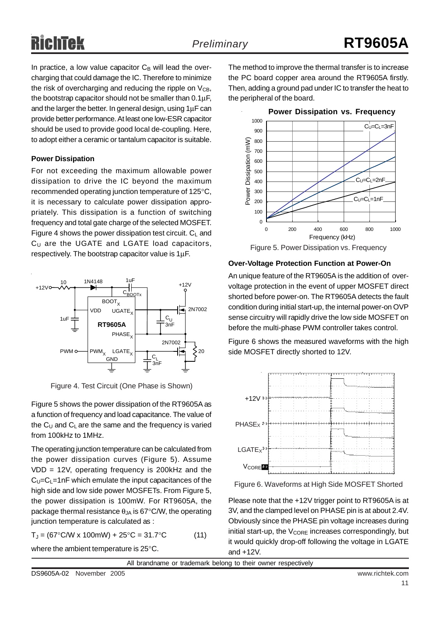In practice, a low value capacitor  $C_B$  will lead the overcharging that could damage the IC. Therefore to minimize the risk of overcharging and reducing the ripple on  $V_{CB}$ , the bootstrap capacitor should not be smaller than 0.1μF, and the larger the better. In general design, using 1μF can provide better performance. At least one low-ESR capacitor should be used to provide good local de-coupling. Here, to adopt either a ceramic or tantalum capacitor is suitable.

#### **Power Dissipation**

For not exceeding the maximum allowable power dissipation to drive the IC beyond the maximum recommended operating junction temperature of 125°C, it is necessary to calculate power dissipation appropriately. This dissipation is a function of switching frequency and total gate charge of the selected MOSFET. Figure 4 shows the power dissipation test circuit.  $C_L$  and  $C_U$  are the UGATE and LGATE load capacitors, respectively. The bootstrap capacitor value is 1μF.



Figure 4. Test Circuit (One Phase is Shown)

Figure 5 shows the power dissipation of the RT9605A as a function of frequency and load capacitance. The value of the  $C_U$  and  $C_L$  are the same and the frequency is varied from 100kHz to 1MHz.

The operating junction temperature can be calculated from the power dissipation curves (Figure 5). Assume VDD = 12V, operating frequency is 200kHz and the  $C_U=C_L=1nF$  which emulate the input capacitances of the high side and low side power MOSFETs. From Figure 5, the power dissipation is 100mW. For RT9605A, the package thermal resistance  $\theta_{JA}$  is 67°C/W, the operating junction temperature is calculated as :

$$
T_J = (67^{\circ}C/W \times 100mW) + 25^{\circ}C = 31.7^{\circ}C \tag{11}
$$

where the ambient temperature is 25°C.

The method to improve the thermal transfer is to increase the PC board copper area around the RT9605A firstly. Then, adding a ground pad under IC to transfer the heat to the peripheral of the board.



Figure 5. Power Dissipation vs. Frequency

#### **Over-Voltage Protection Function at Power-On**

An unique feature of the RT9605A is the addition of overvoltage protection in the event of upper MOSFET direct shorted before power-on. The RT9605A detects the fault condition during initial start-up, the internal power-on OVP sense circuitry will rapidly drive the low side MOSFET on before the multi-phase PWM controller takes control.

Figure 6 shows the measured waveforms with the high side MOSFET directly shorted to 12V.



Figure 6. Waveforms at High Side MOSFET Shorted

Please note that the +12V trigger point to RT9605A is at 3V, and the clamped level on PHASE pin is at about 2.4V. Obviously since the PHASE pin voltage increases during initial start-up, the  $V_{\text{CORE}}$  increases correspondingly, but it would quickly drop-off following the voltage in LGATE and +12V.